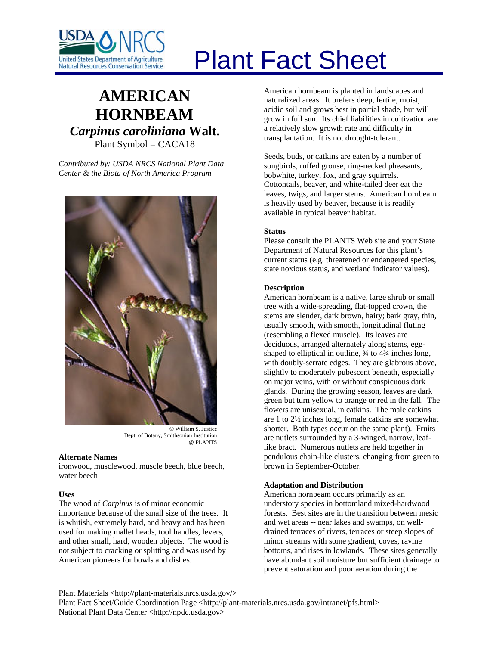

# Plant Fact Sheet

# **AMERICAN HORNBEAM** *Carpinus caroliniana* **Walt.** Plant Symbol = CACA18

*Contributed by: USDA NRCS National Plant Data Center & the Biota of North America Program* 



Dept. of Botany, Smithsonian Institution @ PLANTS

# **Alternate Names**

ironwood, musclewood, muscle beech, blue beech, water beech

### **Uses**

The wood of *Carpinus* is of minor economic importance because of the small size of the trees. It is whitish, extremely hard, and heavy and has been used for making mallet heads, tool handles, levers, and other small, hard, wooden objects. The wood is not subject to cracking or splitting and was used by American pioneers for bowls and dishes.

American hornbeam is planted in landscapes and naturalized areas. It prefers deep, fertile, moist, acidic soil and grows best in partial shade, but will grow in full sun. Its chief liabilities in cultivation are a relatively slow growth rate and difficulty in transplantation. It is not drought-tolerant.

Seeds, buds, or catkins are eaten by a number of songbirds, ruffed grouse, ring-necked pheasants, bobwhite, turkey, fox, and gray squirrels. Cottontails, beaver, and white-tailed deer eat the leaves, twigs, and larger stems. American hornbeam is heavily used by beaver, because it is readily available in typical beaver habitat.

# **Status**

Please consult the PLANTS Web site and your State Department of Natural Resources for this plant's current status (e.g. threatened or endangered species, state noxious status, and wetland indicator values).

# **Description**

American hornbeam is a native, large shrub or small tree with a wide-spreading, flat-topped crown, the stems are slender, dark brown, hairy; bark gray, thin, usually smooth, with smooth, longitudinal fluting (resembling a flexed muscle). Its leaves are deciduous, arranged alternately along stems, eggshaped to elliptical in outline,  $\frac{3}{4}$  to  $\frac{43}{4}$  inches long, with doubly-serrate edges. They are glabrous above, slightly to moderately pubescent beneath, especially on major veins, with or without conspicuous dark glands. During the growing season, leaves are dark green but turn yellow to orange or red in the fall. The flowers are unisexual, in catkins. The male catkins are 1 to 2½ inches long, female catkins are somewhat shorter. Both types occur on the same plant). Fruits are nutlets surrounded by a 3-winged, narrow, leaflike bract. Numerous nutlets are held together in pendulous chain-like clusters, changing from green to brown in September-October.

# **Adaptation and Distribution**

American hornbeam occurs primarily as an understory species in bottomland mixed-hardwood forests. Best sites are in the transition between mesic and wet areas -- near lakes and swamps, on welldrained terraces of rivers, terraces or steep slopes of minor streams with some gradient, coves, ravine bottoms, and rises in lowlands. These sites generally have abundant soil moisture but sufficient drainage to prevent saturation and poor aeration during the

Plant Materials <http://plant-materials.nrcs.usda.gov/> Plant Fact Sheet/Guide Coordination Page <http://plant-materials.nrcs.usda.gov/intranet/pfs.html> National Plant Data Center <http://npdc.usda.gov>